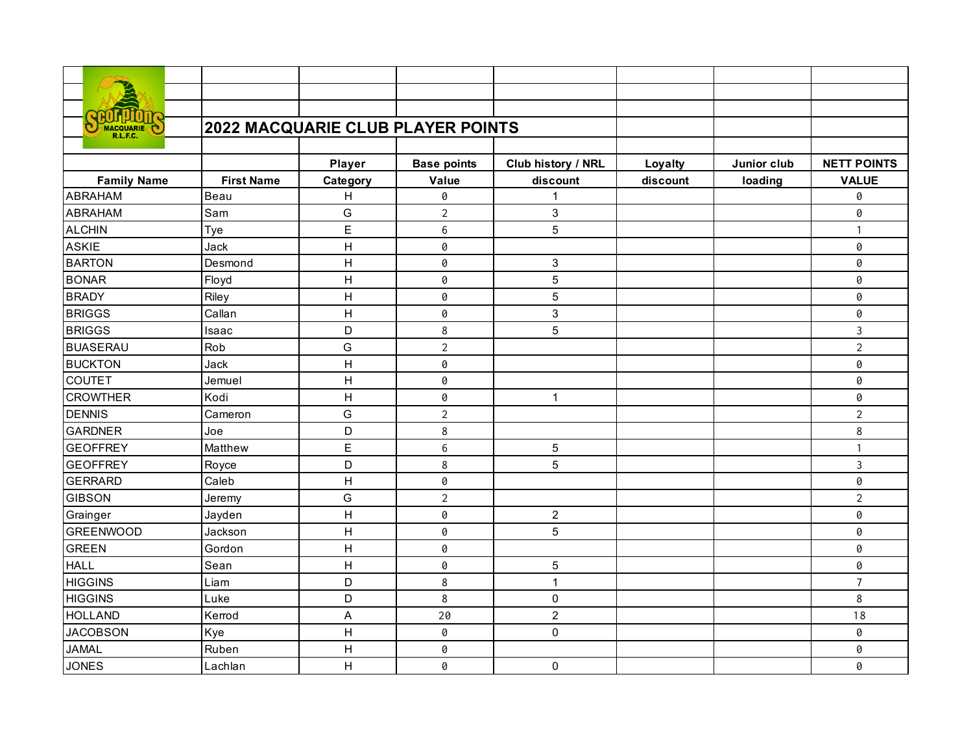| MACQUARIE          | 2022 MACQUARIE CLUB PLAYER POINTS |                |                    |                    |          |             |                    |  |  |
|--------------------|-----------------------------------|----------------|--------------------|--------------------|----------|-------------|--------------------|--|--|
|                    |                                   |                |                    |                    |          |             |                    |  |  |
|                    |                                   | <b>Player</b>  | <b>Base points</b> | Club history / NRL | Loyalty  | Junior club | <b>NETT POINTS</b> |  |  |
| <b>Family Name</b> | <b>First Name</b>                 | Category       | Value              | discount           | discount | loading     | <b>VALUE</b>       |  |  |
| <b>ABRAHAM</b>     | Beau                              | H              | 0                  | 1                  |          |             | 0                  |  |  |
| <b>ABRAHAM</b>     | Sam                               | G              | $\overline{2}$     | 3                  |          |             | 0                  |  |  |
| <b>ALCHIN</b>      | Tye                               | E              | 6                  | 5                  |          |             | $\mathbf{1}$       |  |  |
| <b>ASKIE</b>       | Jack                              | H              | 0                  |                    |          |             | 0                  |  |  |
| <b>BARTON</b>      | Desmond                           | $\overline{H}$ | 0                  | 3                  |          |             | 0                  |  |  |
| <b>BONAR</b>       | Floyd                             | $\mathsf{H}$   | 0                  | 5                  |          |             | 0                  |  |  |
| <b>BRADY</b>       | Riley                             | H              | 0                  | 5                  |          |             | 0                  |  |  |
| <b>BRIGGS</b>      | Callan                            | H              | 0                  | 3                  |          |             | 0                  |  |  |
| <b>BRIGGS</b>      | Isaac                             | D              | 8                  | 5                  |          |             | $\mathbf{3}$       |  |  |
| <b>BUASERAU</b>    | Rob                               | G              | $\overline{2}$     |                    |          |             | $\overline{2}$     |  |  |
| <b>BUCKTON</b>     | Jack                              | Н              | 0                  |                    |          |             | 0                  |  |  |
| <b>COUTET</b>      | Jemuel                            | H              | 0                  |                    |          |             | 0                  |  |  |
| <b>CROWTHER</b>    | Kodi                              | H              | 0                  | 1                  |          |             | 0                  |  |  |
| <b>DENNIS</b>      | Cameron                           | G              | $\overline{2}$     |                    |          |             | $\overline{2}$     |  |  |
| <b>GARDNER</b>     | Joe                               | D              | 8                  |                    |          |             | 8                  |  |  |
| <b>GEOFFREY</b>    | Matthew                           | E              | 6                  | 5                  |          |             | $\mathbf{1}$       |  |  |
| <b>GEOFFREY</b>    | Royce                             | D              | 8                  | 5                  |          |             | $\mathbf{3}$       |  |  |
| <b>GERRARD</b>     | Caleb                             | H              | 0                  |                    |          |             | 0                  |  |  |
| <b>GIBSON</b>      | Jeremy                            | G              | $\overline{2}$     |                    |          |             | $\overline{2}$     |  |  |
| Grainger           | Jayden                            | H              | 0                  | $\overline{c}$     |          |             | 0                  |  |  |
| <b>GREENWOOD</b>   | Jackson                           | H              | 0                  | 5                  |          |             | 0                  |  |  |
| <b>GREEN</b>       | Gordon                            | H              | 0                  |                    |          |             | 0                  |  |  |
| <b>HALL</b>        | Sean                              | H              | 0                  | 5                  |          |             | 0                  |  |  |
| <b>HIGGINS</b>     | Liam                              | D              | 8                  | $\mathbf{1}$       |          |             | $\overline{7}$     |  |  |
| <b>HIGGINS</b>     | Luke                              | D              | 8                  | 0                  |          |             | 8                  |  |  |
| <b>HOLLAND</b>     | Kerrod                            | A              | 20                 | $\overline{c}$     |          |             | 18                 |  |  |
| <b>JACOBSON</b>    | Kye                               | Н              | 0                  | $\boldsymbol{0}$   |          |             | 0                  |  |  |
| <b>JAMAL</b>       | Ruben                             | Η              | 0                  |                    |          |             | 0                  |  |  |
| <b>JONES</b>       | Lachlan                           | H              | 0                  | $\mathbf 0$        |          |             | 0                  |  |  |